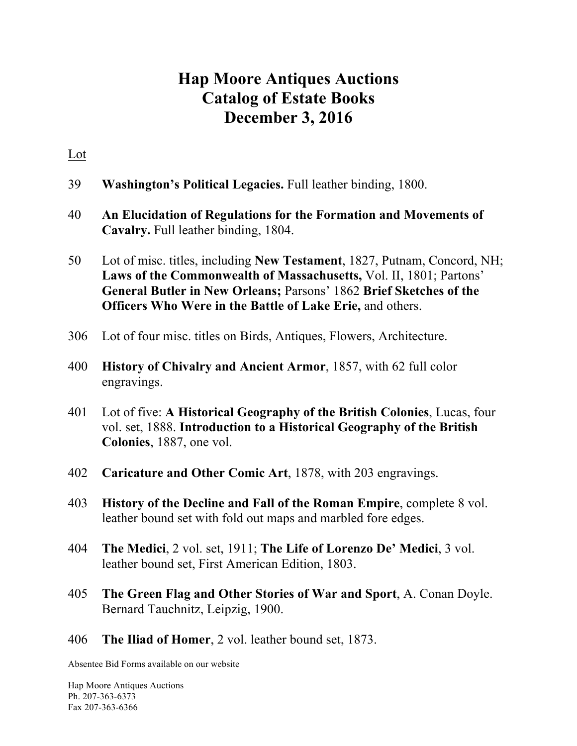## **Hap Moore Antiques Auctions Catalog of Estate Books December 3, 2016**

## Lot

- 39 **Washington's Political Legacies.** Full leather binding, 1800.
- 40 **An Elucidation of Regulations for the Formation and Movements of Cavalry.** Full leather binding, 1804.
- 50 Lot of misc. titles, including **New Testament**, 1827, Putnam, Concord, NH; **Laws of the Commonwealth of Massachusetts,** Vol. II, 1801; Partons' **General Butler in New Orleans;** Parsons' 1862 **Brief Sketches of the Officers Who Were in the Battle of Lake Erie,** and others.
- 306 Lot of four misc. titles on Birds, Antiques, Flowers, Architecture.
- 400 **History of Chivalry and Ancient Armor**, 1857, with 62 full color engravings.
- 401 Lot of five: **A Historical Geography of the British Colonies**, Lucas, four vol. set, 1888. **Introduction to a Historical Geography of the British Colonies**, 1887, one vol.
- 402 **Caricature and Other Comic Art**, 1878, with 203 engravings.
- 403 **History of the Decline and Fall of the Roman Empire**, complete 8 vol. leather bound set with fold out maps and marbled fore edges.
- 404 **The Medici**, 2 vol. set, 1911; **The Life of Lorenzo De' Medici**, 3 vol. leather bound set, First American Edition, 1803.
- 405 **The Green Flag and Other Stories of War and Sport**, A. Conan Doyle. Bernard Tauchnitz, Leipzig, 1900.
- 406 **The Iliad of Homer**, 2 vol. leather bound set, 1873.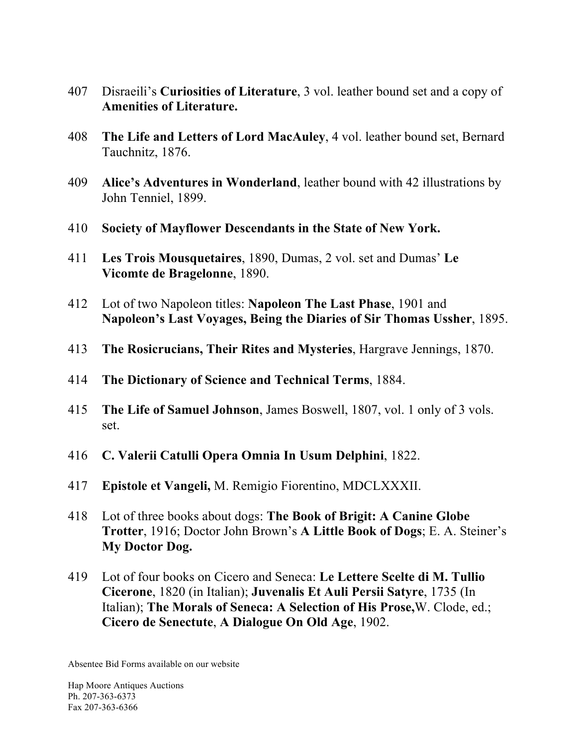- 407 Disraeili's **Curiosities of Literature**, 3 vol. leather bound set and a copy of **Amenities of Literature.**
- 408 **The Life and Letters of Lord MacAuley**, 4 vol. leather bound set, Bernard Tauchnitz, 1876.
- 409 **Alice's Adventures in Wonderland**, leather bound with 42 illustrations by John Tenniel, 1899.
- 410 **Society of Mayflower Descendants in the State of New York.**
- 411 **Les Trois Mousquetaires**, 1890, Dumas, 2 vol. set and Dumas' **Le Vicomte de Bragelonne**, 1890.
- 412 Lot of two Napoleon titles: **Napoleon The Last Phase**, 1901 and **Napoleon's Last Voyages, Being the Diaries of Sir Thomas Ussher**, 1895.
- 413 **The Rosicrucians, Their Rites and Mysteries**, Hargrave Jennings, 1870.
- 414 **The Dictionary of Science and Technical Terms**, 1884.
- 415 **The Life of Samuel Johnson**, James Boswell, 1807, vol. 1 only of 3 vols. set.
- 416 **C. Valerii Catulli Opera Omnia In Usum Delphini**, 1822.
- 417 **Epistole et Vangeli,** M. Remigio Fiorentino, MDCLXXXII.
- 418 Lot of three books about dogs: **The Book of Brigit: A Canine Globe Trotter**, 1916; Doctor John Brown's **A Little Book of Dogs**; E. A. Steiner's **My Doctor Dog.**
- 419 Lot of four books on Cicero and Seneca: **Le Lettere Scelte di M. Tullio Cicerone**, 1820 (in Italian); **Juvenalis Et Auli Persii Satyre**, 1735 (In Italian); **The Morals of Seneca: A Selection of His Prose,**W. Clode, ed.; **Cicero de Senectute**, **A Dialogue On Old Age**, 1902.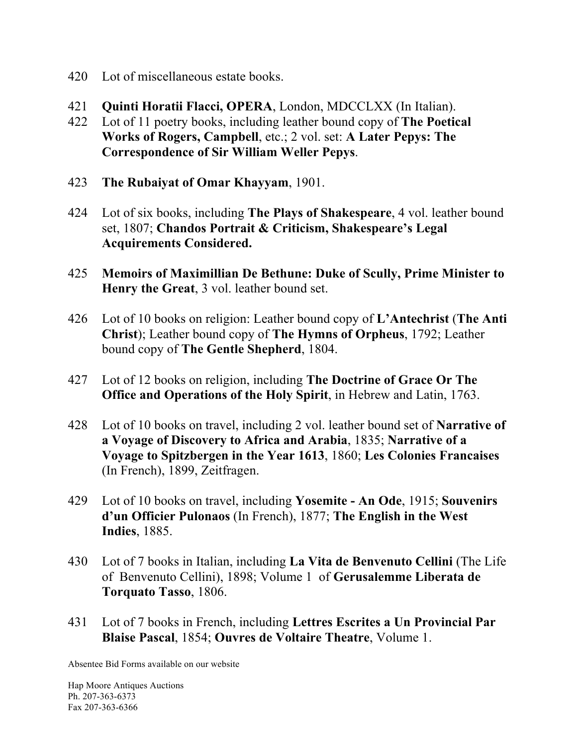- 420 Lot of miscellaneous estate books.
- 421 **Quinti Horatii Flacci, OPERA**, London, MDCCLXX (In Italian).
- 422 Lot of 11 poetry books, including leather bound copy of **The Poetical Works of Rogers, Campbell**, etc.; 2 vol. set: **A Later Pepys: The Correspondence of Sir William Weller Pepys**.
- 423 **The Rubaiyat of Omar Khayyam**, 1901.
- 424 Lot of six books, including **The Plays of Shakespeare**, 4 vol. leather bound set, 1807; **Chandos Portrait & Criticism, Shakespeare's Legal Acquirements Considered.**
- 425 **Memoirs of Maximillian De Bethune: Duke of Scully, Prime Minister to Henry the Great**, 3 vol. leather bound set.
- 426 Lot of 10 books on religion: Leather bound copy of **L'Antechrist** (**The Anti Christ**); Leather bound copy of **The Hymns of Orpheus**, 1792; Leather bound copy of **The Gentle Shepherd**, 1804.
- 427 Lot of 12 books on religion, including **The Doctrine of Grace Or The Office and Operations of the Holy Spirit**, in Hebrew and Latin, 1763.
- 428 Lot of 10 books on travel, including 2 vol. leather bound set of **Narrative of a Voyage of Discovery to Africa and Arabia**, 1835; **Narrative of a Voyage to Spitzbergen in the Year 1613**, 1860; **Les Colonies Francaises**  (In French), 1899, Zeitfragen.
- 429 Lot of 10 books on travel, including **Yosemite - An Ode**, 1915; **Souvenirs d'un Officier Pulonaos** (In French), 1877; **The English in the West Indies**, 1885.
- 430 Lot of 7 books in Italian, including **La Vita de Benvenuto Cellini** (The Life of Benvenuto Cellini), 1898; Volume 1 of **Gerusalemme Liberata de Torquato Tasso**, 1806.
- 431 Lot of 7 books in French, including **Lettres Escrites a Un Provincial Par Blaise Pascal**, 1854; **Ouvres de Voltaire Theatre**, Volume 1.